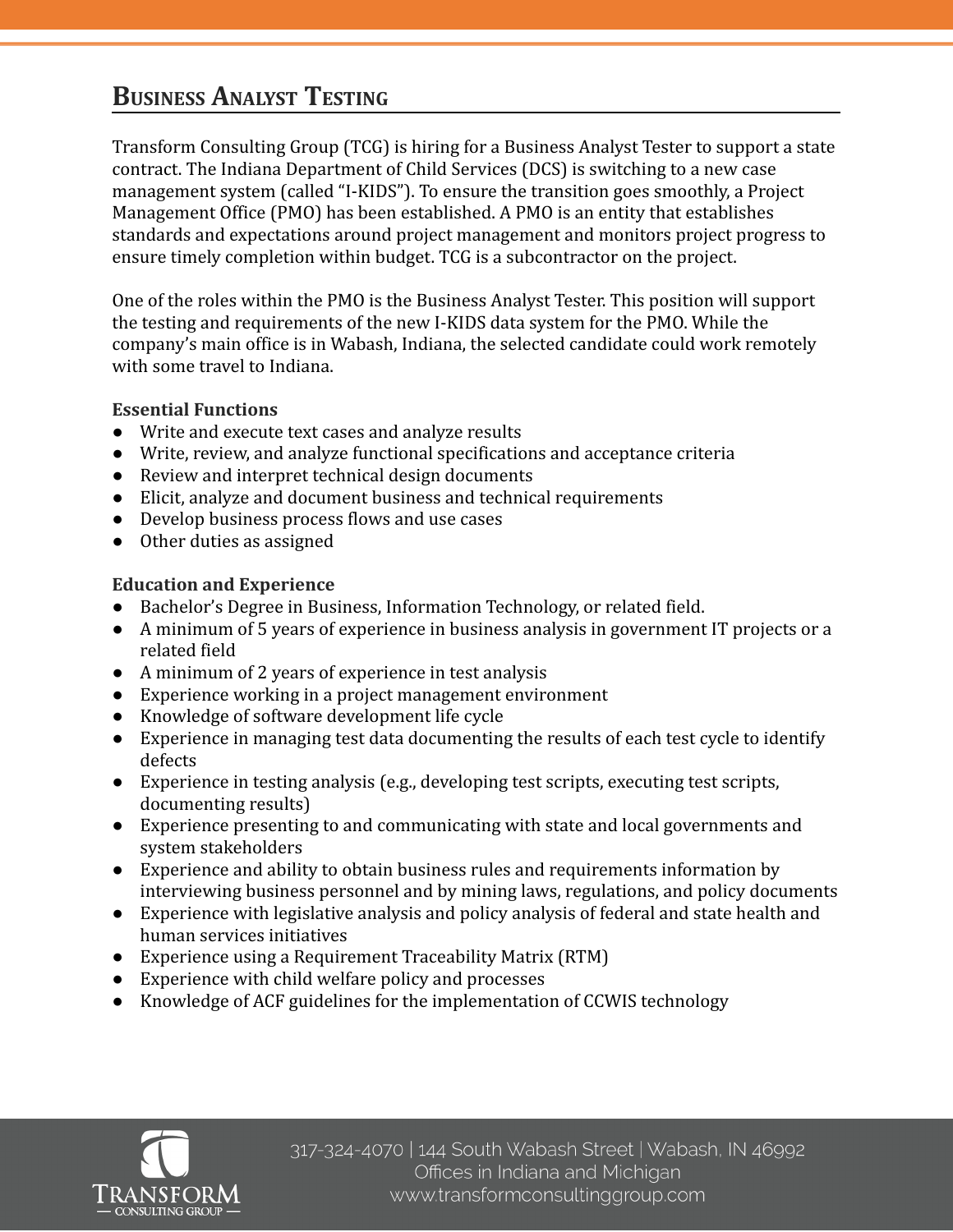# **BUSINESS ANALYST TESTING**

Transform Consulting Group (TCG) is hiring for a Business Analyst Tester to support a state contract. The Indiana Department of Child Services (DCS) is switching to a new case management system (called "I-KIDS"). To ensure the transition goes smoothly, a Project Management Office (PMO) has been established. A PMO is an entity that establishes standards and expectations around project management and monitors project progress to ensure timely completion within budget. TCG is a subcontractor on the project.

One of the roles within the PMO is the Business Analyst Tester. This position will support the testing and requirements of the new I-KIDS data system for the PMO. While the company's main office is in Wabash, Indiana, the selected candidate could work remotely with some travel to Indiana.

## **Essential Functions**

- Write and execute text cases and analyze results
- Write, review, and analyze functional specifications and acceptance criteria
- Review and interpret technical design documents
- Elicit, analyze and document business and technical requirements
- Develop business process flows and use cases
- Other duties as assigned

## **Education and Experience**

- Bachelor's Degree in Business, Information Technology, or related field.
- A minimum of 5 years of experience in business analysis in government IT projects or a related field
- A minimum of 2 years of experience in test analysis
- Experience working in a project management environment
- Knowledge of software development life cycle
- Experience in managing test data documenting the results of each test cycle to identify defects
- Experience in testing analysis (e.g., developing test scripts, executing test scripts, documenting results)
- Experience presenting to and communicating with state and local governments and system stakeholders
- Experience and ability to obtain business rules and requirements information by interviewing business personnel and by mining laws, regulations, and policy documents
- Experience with legislative analysis and policy analysis of federal and state health and human services initiatives
- Experience using a Requirement Traceability Matrix (RTM)
- Experience with child welfare policy and processes
- Knowledge of ACF guidelines for the implementation of CCWIS technology